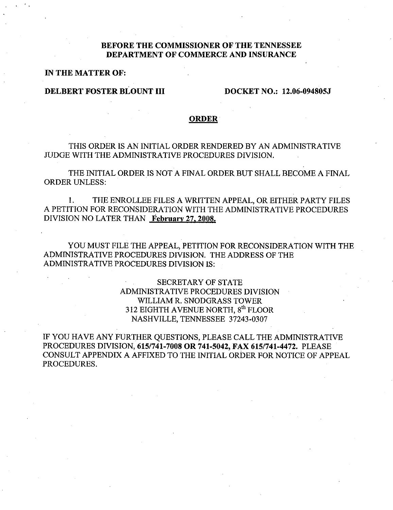# **BEFORE THE COMMISSIONER OF THE TENNESSEE DEPARTMENT OF COMMERCE AND INSURANCE**

**IN THE MATTER OF:** 

## **DELBERT FOSTER BLOUNT III DOCKET NO.: 12.06-094805J**

### **ORDER**

THIS ORDER IS AN INITIAL ORDER RENDERED BY AN ADMINISTRATIVE JUDGE WITH THE ADMINISTRATIVE PROCEDURES DIVISION.

THE INITIAL ORDER IS NOT A FINAL ORDER BUT SHALL BECOME A FINAL ORDER UNLESS:

1. THE ENROLLEE FILES A WRITTEN APPEAL, OR EITHER PARTY FILES A PETITION FOR RECONSIDERATION WITH THE ADMINISTRATIVE PROCEDURES DIVISION NO LATER THAN **February 27.2008.** 

YOU MUST FILE THE APPEAL, PETITION FOR RECONSIDERATION WITH THE ADMINISTRATIVE PROCEDURES DIVISION. THE ADDRESS OF THE ADMINISTRATIVE PROCEDURES DIVISION IS:

> SECRETARY OF STATE ADMINISTRATIVE PROCEDURES DIVISION WILLIAM R. SNODGRASS TOWER 312 EIGHTH AVENUE NORTH, gth FLOOR NASHVILLE, TENNESSEE 37243-0307

IF YOU HAVE ANY FURTHER QUESTIONS, PLEASE CALL THE ADMINISTRATIVE PROCEDURES DIVISION, **615/741-7008 OR 741-5042, FAX 615/741-4472.** PLEASE CONSULT APPENDIX A AFFIXED TO THE INITIAL ORDER FOR NOTICE OF APPEAL PROCEDURES.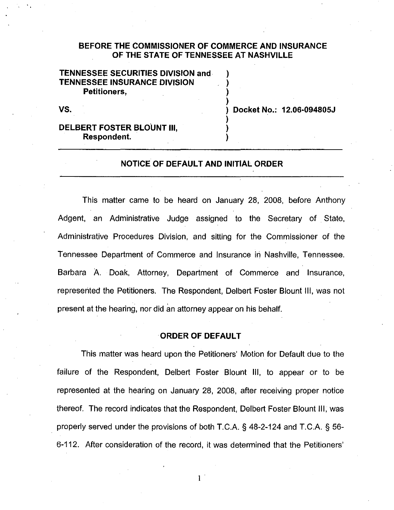# **BEFORE THE COMMISSIONER OF COMMERCE AND INSURANCE OF THE STATE OF TENNESSEE AT NASHVILLE**

) ) ) )

)

) )

# **TENNESSEE SECURITIES DIVISION and TENNESSEE INSURANCE DIVISION Petitioners,**

**vs.** ) **Docket No.: 12.06·094805J** 

## **DELBERT FOSTER BLOUNT III. Respondent.**

### **NOTICE OF DEFAULT AND INITIAL ORDER**

This matter came to be heard on January 28, 2008, before Anthony Adgent, an Administrative Judge assigned to the Secretary of State, Administrative Procedures Division, and sitting for the Commissioner of the Tennessee Department of Commerce and Insurance in Nashville, Tennessee. Barbara A Doak, Attorney, Department of Commerce and Insurance, represented the Petitioners. The Respondent, Delbert Foster Blount Ill, was not present at the hearing, nor did an attorney appear on his behalf.

### **ORDER OF DEFAULT**

This matter was heard upon the Petitioners' Motion for Default due to the failure of the Respondent, Delbert Foster Blount Ill, to appear or to be represented at the hearing on January 28, 2008, after receiving proper notice thereof. The record indicates that the Respondent, Delbert Foster Blount Ill, was properly served under the provisions of both T.C.A. § 48-2-124 and T.C.A. § 56-6-112. After consideration of the record, it was determined that the Petitioners'

1 .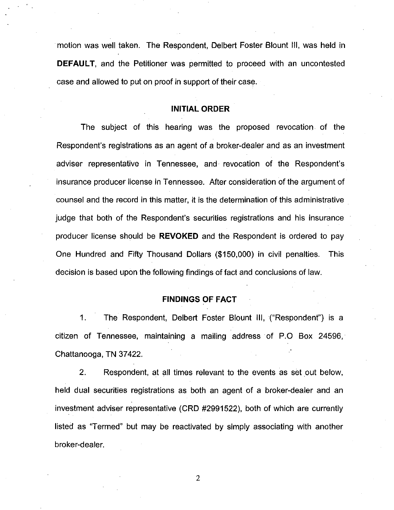·motion was well taken. The Respondent, Delbert Foster Blount Ill, was held in **DEFAULT,** and the Petitioner was permitted to proceed with an uncontested case and allowed to put on proof in support of their case.

### **INITIAL ORDER**

The subject of this hearing was the proposed revocation. of the Respondent's registrations as an agent of a broker-dealer and as an investment adviser representative in Tennessee, and· revocation of the Respondent's insurance producer license in Tennessee. After consideration of the argument of counsel and the record in this matter, it is the determination of this administrative judge that both of the Respondent's securities registrations and his insurance producer license should be **REVOKED** and the Respondent is ordered to pay One Hundred and Fifty Thousand Dollars (\$150,000) in civil penalties. This decision is based upon the following findings of fact and conclusions of law.

## **FINDINGS OF FACT**

1. The Respondent, Delbert Foster Blount Ill, ("Respondent") is a citizen of Tennessee, maintaining a mailing address of P.O Box 24596, Chattanooga, TN 37422.

2. Respondent, at all times relevant to the events as set out below, held dual securities registrations as both an agent of a broker-dealer and an investment adviser representative (CRD #2991522), both of which are currently listed as "Termed" but may be reactivated by simply associating with another broker-dealer.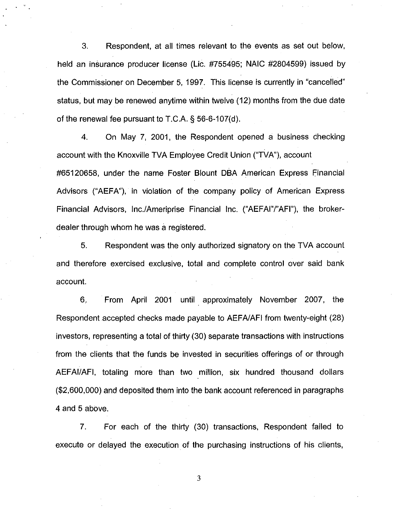3. Respondent, at all times relevant to the events as set out below, held an insurance producer license (Lie. #755495; NAIC #2804599) issued by the Commissioner on December 5, 1997. This license is currently in "cancelled" status, but may be renewed anytime within twelve (12) months from the due date of the renewal fee pursuant to T.C.A. § 56-6-107(d).

4. On May 7, 2001, the Respondent opened a business checking account with the Knoxville TVA Employee Credit Union ("TVA"), account #65120658, under the name Foster Blount DBA American Express Financial Advisors ("AEFA"), in violation of the company policy of American Express Financial Advisors, lnc./Ameriprise Financial Inc. ("AEFAI"/"AFI"}, the brokerdealer through whom he was a registered.

5. Respondent was the only authorized signatory on the TVA account and therefore exercised exclusive, total and complete control over said bank account.

6. From April 2001 until approximately November 2007, the Respondent accepted checks made payable to AEFA/AFI from twenty-eight (28) investors, representing a total of thirty (30) separate transactions with instructions from the clients that the funds be invested in securities offerings of or through AEFAI/AFI, totaling more than two million, six hundred thousand dollars (\$2,600,000) and deposited them into the bank account referenced in paragraphs 4 and 5 above.

7. For each of the thirty (30) transactions, Respondent failed to execute or delayed the execution of the purchasing instructions of his clients,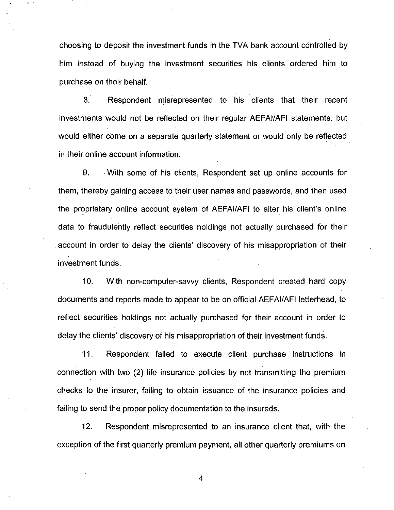choosing to deposit the investment funds in the TVA bank account controlled by him instead of buying the investment securities his clients ordered him to purchase on their behalf.

8. Respondent misrepresented to his clients that their recent investments would not be reflected on their regular AEFAI/AFI statements, but would either come on a separate quarterly statement or would only be reflected in their online account information.

9. . With some of his clients, Respondent set up online accounts for them, thereby gaining access to their user names and passwords, and then used the proprietary online account system of AEFAI/AFI to alter his client's online data to fraudulently reflect securities holdings not actually purchased for their account in order to delay the clients' discovery of his misappropriation of their investment funds.

10. With non-computer-savvy clients, Respondent created hard copy documents and reports made to appear to be on official AEFAI/AFI letterhead, to reflect securities holdings not actually purchased for their account in order to delay the clients' discovery of his misappropriation of their investment funds.

11. Respondent failed to execute client purchase instructions in connection with two (2) life insurance policies by not transmitting the premium checks to the insurer, failing to obtain issuance of the insurance policies and failing to send the proper policy documentation to the insureds.

12. Respondent misrepresented to an insurance client that, with the exception of the first quarterly premium payment, all other quarterly premiums on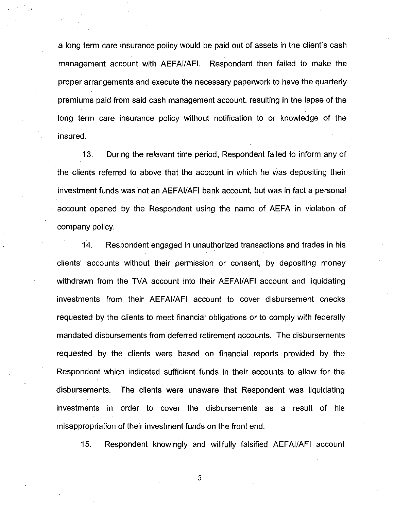a long term care insurance policy would be paid out of assets in the client's cash management account with AEFAI/AFI. Respondent then failed to make the proper arrangements and execute the necessary paperwork to have the quarterly premiums paid from said cash management account, resulting in the lapse of the long term care insurance policy without notification to or knowledge of the insured.

13. During the relevant time period, Respondent failed to inform any of the clients referred to above that the account in which he was depositing their investment funds was not an AEFAI/AFI bank account, but was in fact a personal account opened by the Respondent using the name of AEFA in violation of company policy.

14. Respondent engaged in unauthorized transactions and trades in his ·clients' accounts without their permission or consent, by depositing money withdrawn from the TVA account into their AEFAI/AFI account and liquidating investments from their AEFAI/AFI account to cover disbursement checks requested by the clients to meet financial obligations or to comply with federally mandated disbursements from deferred retirement accounts. The disbursements requested by the clients were based on financial reports provided by the Respondent which indicated sufficient funds in their accounts to allow for the disbursements. The clients were unaware that Respondent was liquidating investments in order to cover the disbursements as a result of his misappropriation of their investment funds on the front end.

15. Respondent knowingly and willfully falsified AEFAI/AFI account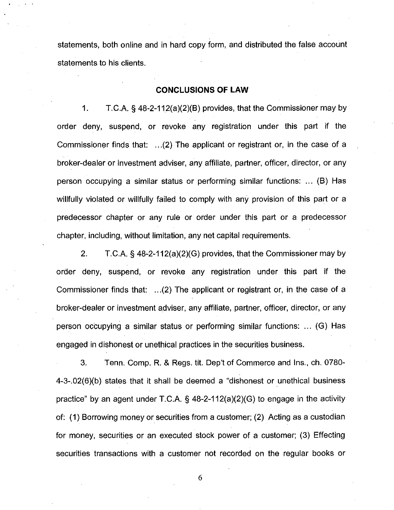statements, both online and in hard copy form, and distributed the false account statements to his clients.

## **CONCLUSIONS OF LAW**

1. T.C.A. § 48-2-112(a)(2)(B) provides, that the Commissioner may by order deny, suspend, or revoke any registration under this part if the Commissioner finds that: ... (2) The applicant or registrant or, in the case of a broker-dealer or investment adviser, any affiliate, partner, officer, director, or any person occupying a similar status or performing similar functions: ... (B) Has willfully violated or willfully failed to comply with any provision of this part or a predecessor chapter or any rule or order under this part or a predecessor chapter, including, without limitation, any net capital requirements.

2. T.C.A. § 48-2-112(a)(2)(G) provides, that the Commissioner may by order deny, suspend, or revoke any registration under this part if the Commissioner finds that: ... (2) The applicant or registrant or, in the case of a broker-dealer or investment adviser, any affiliate, partner, officer, director, or any person occupying a similar status or performing similar functions: ... (G) Has engaged in dishonest or unethical practices in the securities business.

3. Tenn. Comp. R. & Regs. tit. Dep't of Commerce and Ins., ch. 0780- 4-3-.02(6)(b) states that it shall be deemed a "dishonest or unethical business practice" by an agent under T.C.A. § 48-2-112(a)(2)(G) to engage in the activity of: (1) Borrowing money or securities from a customer; (2) Acting as a custodian for money, securities or an executed stock power of a customer; (3) Effecting securities transactions with a customer not recorded on the regular books or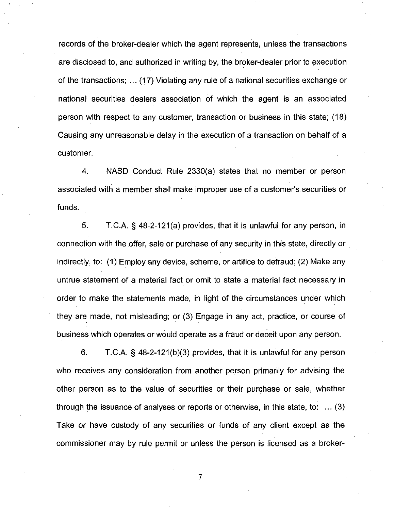records of the broker-dealer which the agent represents, unless the transactions are disclosed to, and authorized in writing by, the broker-dealer prior to execution of the transactions; ... ( 17) Violating any rule of a national securities exchange or national securities dealers association of which the agent is an associated person with respect to any customer, transaction or business in this state; ( 18) Causing any unreasonable delay in the execution of a transaction on behalf of a customer.

4. NASD Conduct Rule 2330(a) states that no member or person associated with a member shall make improper use of a customer's. securities or funds.

5. T.C.A. § 48-2-121 (a) provides, that it is unlawful for any person, in connection with the offer, sale or purchase of any security in this state, directly or indirectly, to: (1) Employ any device, scheme, or artifice to defraud; (2) Make any untrue statement of a material fact or omit to state a material fact necessary in order to make the statements made, in light of the circumstances under which they are made, not misleading; or (3) Engage in any act, practice, or course of business which operates or would operate as a fraud or deceit upon any person.

6. T.C.A. § 48-2-121(b)(3) provides, that it is unlawful for any person who receives any consideration from another person primarily for advising the other person as to the value of securities or their purchase or sale, whether through the issuance of analyses or reports or otherwise, in this state, to: ... (3) Take or have custody of any securities or funds of any client except as the commissioner may by rule permit or unless the person is licensed as a broker-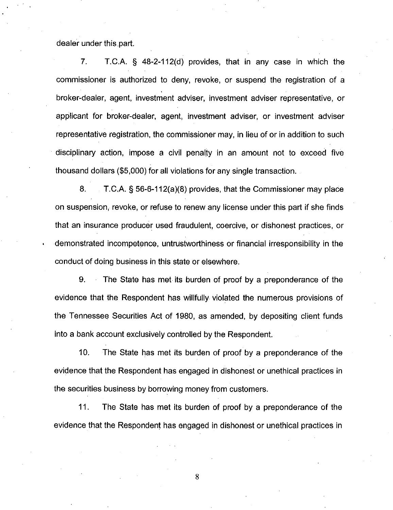dealer under this part.

7. T.C.A. § 48-2-112(d) provides, that in any case in which the commissioner is authorized to deny, revoke, or suspend the registration of a broker-dealer, agent, investment adviser, investment adviser representative, or applicant for broker-dealer, agent, investment adviser, or investment adviser representative registration, the commissioner may, in lieu of or in addition to such disciplinary action, impose a civil penalty in an amount not to exceed five thousand dollars (\$5,000) for all violations for any single transaction.

8. T.C.A. § 56-6-112(a)(8) provides, that the Commissioner may place on suspension, revoke, or refuse to renew any license under this part if she finds that an insurance producer used fraudulent, coercive, or dishonest practices, or demonstrated incompetence, untrustworthiness or financial irresponsibility in the conduct of doing business in this state or elsewhere.

9. The State has met its burden of proof by a preponderance of the evidence that the Respondent has willfully violated the numerous provisions of the Tennessee Securities Act of 1980, as amended, by depositing client funds into a bank account exclusively controlled by the Respondent.

10. The State has met its burden of proof by a preponderance of the evidence that the Respondent has engaged in dishonest or unethical practices in the securities business by borrowing money from customers.

11. The State has met its burden of proof by a preponderance of the evidence that the Respondent has engaged in dishonest or unethical practices in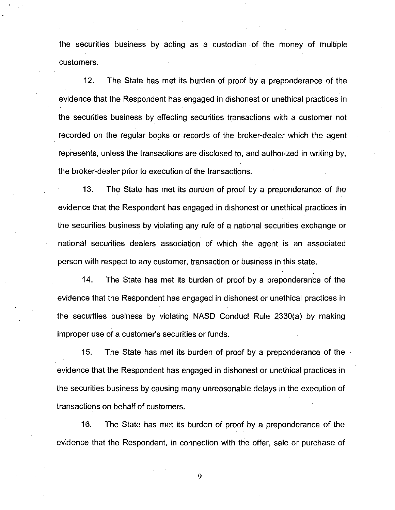the securities business by acting as a custodian of the money of multiple customers.

12. The State has met its burden of proof by a preponderance of the evidence that the Respondent has engaged in dishonest or unethical practices in the securities business by effecting securities transactions with a customer not recorded on the regular books or records of the broker-dealer which the agent represents, unless the transactions are disclosed to, and authorized in writing by, the broker-dealer prior to execution of the transactions.

13. The State has met its burden of proof by a preponderance of the evidence that the Respondent has engaged in dishonest or unethical practices in the securities business by violating any rule of a national securities exchange or national securities dealers association of which the agent is an associated person with respect to any customer, transaction or business in this state.

14. The State has met its burden of proof by a preponderance of the evidence that the Respondent has engaged in dishonest or unethical practices in the securities business by violating NASD Conduct Rule 2330(a) by making improper use of a customer's securities or funds.

15. The State has met its burden of proof by a preponderance of the evidence that the Respondent has engaged in dishonest or unethical practices in the securities business by causing many unreasonable delays in the execution of transactions on behalf of customers.

16. The State has met its burden of proof by a preponderance of the evidence that the Respondent, in connection with the offer, sale or purchase of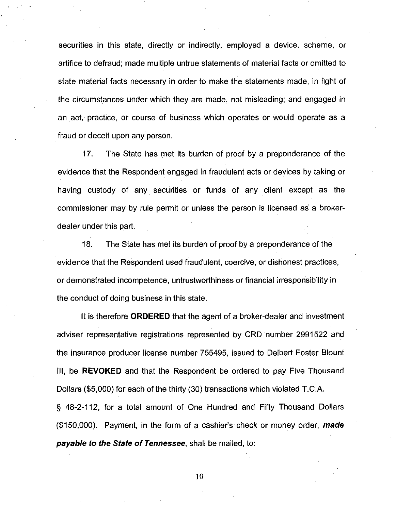securities in this state, directly or indirectly, employed a device, scheme, or artifice to defraud; made multiple untrue statements of material facts or omitted to state material facts necessary in order to make the statements made, in light of the circumstances under which they are made, not misleading; and engaged in an act, practice, or course of business which operates or would operate as a fraud or deceit upon any person.

17. The State has met its burden of proof by a preponderance of the evidence that the Respondent engaged in fraudulent acts or devices by taking or having custody of any. securities or funds of any client except as the commissioner may by rule permit or unless the person is licensed as a brokerdealer under this part.

18. The State has met its burden of proof by a preponderance of the evidence that the Respondent used fraudulent, coercive, or dishonest practices, or demonstrated incompetence, untrustworthiness or financial irresponsibility in the conduct of doing business in this state.

It is therefore **ORDERED** that the agent of a broker-dealer and investment adviser representative registrations represented by CRD number 2991522 and the insurance producer license number 755495, issued to Delbert Foster Blount Ill, be **REVOKED** and that the Respondent be ordered to pay Five Thousand Dollars (\$5,000) for each of the thirty (30) transactions which violated T.C.A. § 48-2-112, for a total amount of One Hundred and Fifty Thousand Dollars

(\$150,000). Payment, in the form of a cashier's check or money order, **made payable to the State of Tennessee,** shall be mailed, to: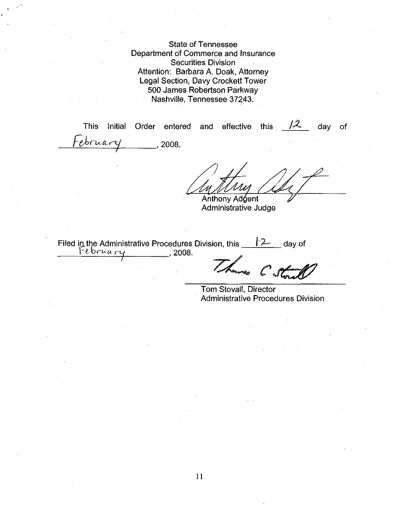State of Tennessee Department of Commerce and Insurance Securities Division Attention: Barbara A. Doak, Attorney Legal Section, Davy Crockett Tower 500 James Robertson Parkway Nashville, Tennessee 37243.

This Initial Order entered and  $-*e*$ bruar $\vee$   $\qquad$  . 2008. **Anthony Adgent** Administrative Judge effective this  $/2$ day of

Filed in the Administrative Procedures Division, this <u>f-2</u> day of f-12 day of f-12 day of f-12 day of f-12 day of

 $C_{\bullet}$ 

Tom Stovall, Director Administrative Procedures Division